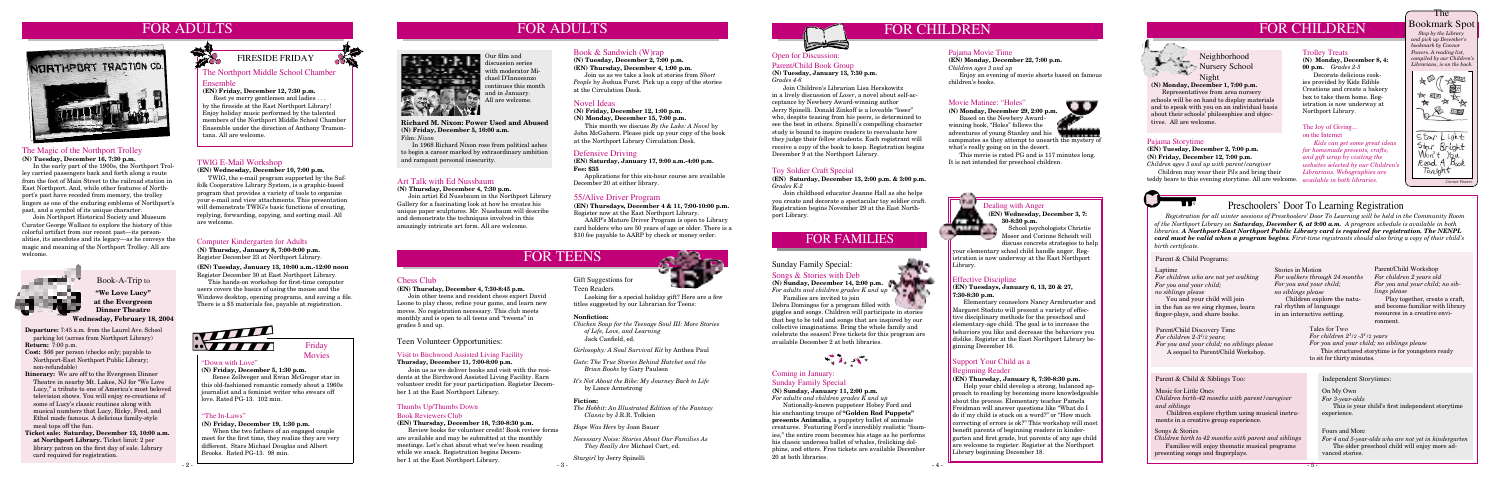# FOR ADULTS



#### Novel Ideas

**(N) Friday, December 12, 1:00 p.m.**

**(N) Monday, December 15, 7:00 p.m.**

 This month we discuss *By the Lake: A Novel* by John McGahern. Please pick up your copy of the book at the Northport Library Circulation Desk.

#### Defensive Driving

**(EN) Saturday, January 17, 9:00 a.m.-4:00 p.m. Fee: \$35** 

 Applications for this six-hour course are available December 20 at either library.

#### The Northport Middle School Chamber Ensemble

#### **(EN) Friday, December 12, 7:30 p.m.**

 Rest ye merry gentlemen and ladies . . . by the fireside at the East Northport Library! Enjoy holiday music performed by the talented members of the Northport Middle School Chamber Ensemble under the direction of Anthony Tramontana. All are welcome.

# FIRESIDE FRIDAY

# FOR CHILDREN



#### Pajama Storytime

#### **(EN) Tuesday, December 2, 7:00 p.m. (N) Friday, December 12, 7:00 p.m.**

# FOR FAMILIES

### Sunday Family Special: Songs & Stories with Deb

**(N) Sunday, December 14, 2:00 p.m.** *For adults and children grades K and up* 70 M L

 Based on the Newbery Awardwinning book, "Holes" follows the adventures of young Stanley and his campmates as they attempt to unearth the mystery of



 Families are invited to join Debra Domingos for a program filled with giggles and songs. Children will participate in stories that beg to be told and songs that are inspired by our collective imaginations. Bring the whole family and celebrate the season! Free tickets for this program are available December 2 at both libraries.



#### Effective Discipline

**(EN) Tuesdays, January 6, 13, 20 & 27, 7:30-8:30 p.m.**

 Elementary counselors Nancy Armbruster and Margaret Stoduto will present a variety of effective disciplinary methods for the preschool and elementary-age child. The goal is to increase the behaviors you like and decrease the behaviors you dislike. Register at the East Northport Library beginning December 16.

### Support Your Child as a

#### Beginning Reader **(EN) Thursday, January 8, 7:30-8:30 p.m.**

 Help your child develop a strong, balanced approach to reading by becoming more knowledgeable about the process. Elementary teacher Pamela Freidman will answer questions like "What do I do if my child is stuck on a word?" or "How much correcting of errors is ok?" This workshop will most benefit parents of beginning readers in kindergarten and first grade, but parents of any age child are welcome to register. Register at the Northport Library beginning December 18.



#### Movie Matinee: "Holes"

**(N) Monday, December 29, 2:00 p.m.**

what's really going on in the desert. This movie is rated PG and is 117 minutes long. It is not intended for preschool children.



 Neighborhood **Nursery School** Night

**(N) Monday, December 1, 7:00 p.m.** Representatives from area nursery

schools will be on hand to display materials and to speak with you on an individual basis about their schools' philosophies and objectives. All are welcome.

Teen Volunteer Opportunities:

### Coming in January:

#### Sunday Family Special

### **(N) Sunday, January 11, 2:00 p.m.**

*For adults and children grades K and up* Nationally-known puppeteer Hobey Ford and his enchanting troupe of **"Golden Rod Puppets" presents Animalia**, a puppetry ballet of animals creatures. Featuring Ford's incredibly realistic "foamies," the entire room becomes his stage as he performs his classic undersea ballet of whales, frolicking dolphins, and otters. Free tickets are available December 20 at both libraries.

**(EN) Wednesday, December 3, 7: 30-8:30 p.m.** School psychologists Christie

Gift Suggestions for

Teen Readers

 Looking for a special holiday gift? Here are a few titles suggested by our Librarian for Teens:

#### Chess Club

#### **(EN) Thursday, December 4, 7:30-8:45 p.m.**

 Join other teens and resident chess expert David Leone to play chess, refine your game, and learn new moves. No registration necessary. This club meets monthly and is open to all teens and "tweens" in grades 5 and up.

#### Computer Kindergarten for Adults

**(N) Thursday, January 8, 7:00-9:00 p.m.** Register December 23 at Northport Library.

**(EN) Tuesday, January 13, 10:00 a.m.-12:00 noon** Register December 30 at East Northport Library.

 This hands-on workshop for first-time computer users covers the basics of using the mouse and the Windows desktop, opening programs, and saving a file. There is a \$5 materials fee, payable at registration.



#### The Magic of the Northport Trolley

**(N) Tuesday, December 16, 7:30 p.m.**

 In the early part of the 1900s, the Northport Trolley carried passengers back and forth along a route from the foot of Main Street to the railroad station in East Northport. And, while other features of Northport's past have receded from memory, the trolley lingers as one of the enduring emblems of Northport's past, and a symbol of its unique character.

 Join Northport Historical Society and Museum Curator George Wallace to explore the history of this colorful artifact from our recent past—its personalities, its anecdotes and its legacy—as he conveys the magic and meaning of the Northport Trolley. All are welcome.



#### Art Talk with Ed Nussbaum

**(N) Thursday, December 4, 7:30 p.m.**

 Join artist Ed Nussbaum in the Northport Library Gallery for a fascinating look at how he creates his unique paper sculptures. Mr. Nussbaum will describe and demonstrate the techniques involved in this amazingly intricate art form. All are welcome.

- 2 - - 3 - Review books for volunteer credit! Book review forms are available and may be submitted at the monthly meetings. Let's chat about what we've been reading while we snack. Registration begins December 1 at the East Northport Library.

- **Departure:** 7:45 a.m. from the Laurel Ave. School parking lot (across from Northport Library) **Return:** 7:00 p.m.
- **Cost:** \$66 per person (checks only; payable to Northport-East Northport Public Library; non-refundable)
- **Itinerary:** We are off to the Evergreen Dinner Theatre in nearby Mt. Lakes, NJ for "We Love Lucy," a tribute to one of America's most beloved television shows. You will enjoy re-creations of some of Lucy's classic routines along with musical numbers that Lucy, Ricky, Fred, and Ethel made famous. A delicious family-style meal tops off the fun.
- **Ticket sale: Saturday, December 13, 10:00 a.m. at Northport Library.** Ticket limit: 2 per library patron on the first day of sale. Library card required for registration.



#### Book-A-Trip to

**"We Love Lucy" at the Evergreen Dinner Theatre Wednesday, February 18, 2004**

#### Toy Soldier Craft Special

**(EN) Saturday, December 13, 2:00 p.m. & 3:00 p.m.**  *Grades K-2*

 Join childhood educator Jeanne Hall as she helps you create and decorate a spectacular toy soldier craft. Registration begins November 29 at the East Northport Library.

#### Trolley Treats

**(N) Monday, December 8, 4: 00 p.m.** *Grades 2-5* Decorate delicious cook-

ies provided by Kids Edible Creations and create a bakery box to take them home. Registration is now underway at Northport Library.

#### Pajama Movie Time

#### **(EN) Monday, December 22, 7:00 p.m.** *Children ages 3 and up*

 Enjoy an evening of movie shorts based on famous children's books.

### Dealing with Anger

*Children ages 3 and up with parent/caregiver* Children may wear their PJs and bring their teddy bears to this evening storytime. All are welcome. *available in both libraries.*

Moser and Corinne Scheidt will discuss concrete strategies to help

your elementary school child handle anger. Registration is now underway at the East Northport Library.

### The Bookmark Spot

 *Stop by the Library and pick up December's bookmark by Connor Powers. A reading list, compiled by our Children's Librarians, is on the back.*



# Preschoolers' Door To Learning Registration

 *Registration for all winter sessions of Preschoolers' Door To Learning will be held in the Community Room of the Northport Library on Saturday, December 6, at 9:00 a.m. A program schedule is available in both libraries. A Northport-East Northport Public Library card is required for registration. The NENPL card must be valid when a program begins. First-time registrants should also bring a copy of their child's birth certificate.*

#### Laptime

*For children who are not yet walking For you and your child; no siblings please*

 You and your child will join in the fun as we sing rhymes, learn finger-plays, and share books.

> *For 4 and 5-year-olds who are not yet in kindergarten* The older preschool child will enjoy more advanced stories.

Parent/Child Workshop *For children 2 years old For you and your child; no siblings please*

 *For you and your child; no siblings please* Tales for Two  $\emph{For children 2}$ <sup>1</sup>/2 -3<sup>1</sup>/2 years This structured storytime is for youngsters ready to sit for thirty minutes.

 Play together, create a craft, and become familiar with library resources in a creative environment.

On My Own

*For 3-year-olds*

 This is your child's first independent storytime experience.

#### Fours and More

#### Songs & Stories

*Children birth to 42 months with parent and siblings* Families will enjoy thematic musical programs presenting songs and fingerplays.

Music for Little Ones *Children birth-42 months with parent/caregiver and siblings*

 Children explore rhythm using musical instruments in a creative group experience.

Stories in Motion *For walkers through 24 months For you and your child; no siblings please* Children explore the natural rhythm of language in an interactive setting.

Parent & Child Programs:

Parent/Child Discovery Time *For children 2-31 /2 years; For you and your child; no siblings please* A sequel to Parent/Child Workshop.

#### Parent & Child & Siblings Too: Independent Storytimes:

FOR CHILDREN

**Richard M. Nixon: Power Used and Abused (N) Friday, December 5, 10:00 a.m.** Film: *Nixon*

 In 1968 Richard Nixon rose from political ashes to begin a career marked by extraordinary ambition and rampant personal insecurity.

#### 55/Alive Driver Program

**(EN) Thursdays, December 4 & 11, 7:00-10:00 p.m.** Register now at the East Northport Library.

 AARP's Mature Driver Program is open to Library card holders who are 50 years of age or older. There is a \$10 fee payable to AARP by check or money order.

# FOR TEENS

Our film and discussion series with moderator Michael D'Innocenzo continues this month and in January. All are welcome.

#### **Nonfiction:**

*Chicken Soup for the Teenage Soul III: More Stories of Life, Love, and Learning* Jack Canfield, ed.

*Girlosophy: A Soul Survival Kit* by Anthea Paul

*Guts: The True Stories Behind Hatchet and the Brian Books* by Gary Paulsen

*It's Not About the Bike: My Journey Back to Life* by Lance Armstrong

#### **Fiction:**

*The Hobbit: An Illustrated Edition of the Fantasy Classic* by J.R.R. Tolkien

*Hope Was Here* by Joan Bauer

*Necessary Noise: Stories About Our Families As They Really Are* Michael Cart, ed.

*Stargirl* by Jerry Spinelli



#### Visit to Birchwood Assisted Living Facility

**Thursday, December 11, 7:00-8:00 p.m.**

 Join us as we deliver books and visit with the residents at the Birchwood Assisted Living Facility. Earn volunteer credit for your participation. Register December 1 at the East Northport Library.

#### Thumbs Up/Thumbs Down

#### Book Reviewers Club

#### **(EN) Thursday, December 18, 7:30-8:30 p.m.**

#### Open for Discussion: Parent/Child Book Group

**(N) Tuesday, January 13, 7:30 p.m.** *Grades 4-6*

 Join Children's Librarian Lisa Herskowitz in a lively discussion of *Loser*, a novel about self-acceptance by Newbery Award-winning author Jerry Spinelli. Donald Zinkoff is a loveable "loser" who, despite teasing from his peers, is determined to see the best in others. Spinelli's compelling character study is bound to inspire readers to reevaluate how they judge their fellow students. Each registrant will receive a copy of the book to keep. Registration begins December 9 at the Northport Library.

#### TWIG E-Mail Workshop

**(EN) Wednesday, December 10, 7:00 p.m.**

TWIG, the e-mail program supported by the Suffolk Cooperative Library System, is a graphic-based program that provides a variety of tools to organize your e-mail and view attachments. This presentation will demonstrate TWIG's basic functions of creating, replying, forwarding, copying, and sorting mail. All are welcome.

#### Book & Sandwich (W)rap

**(N) Tuesday, December 2, 7:00 p.m. (EN) Thursday, December 4, 1:00 p.m.**

Join us as we take a look at stories from *Short People* by Joshua Furst*.* Pick up a copy of the stories at the Circulation Desk.

# FOR ADULTS

#### "The In-Laws"

#### **(N) Friday, December 19, 1:30 p.m.**

When the two fathers of an engaged couple meet for the first time, they realize they are very different. Stars Michael Douglas and Albert Brooks. Rated PG-13. 98 min.





# "Down with Love"

#### **(N) Friday, December 5, 1:30 p.m.**

Renee Zellweger and Ewan McGregor star in this old-fashioned romantic comedy about a 1960s journalist and a feminist writer who swears off love. Rated PG-13. 102 min.

#### The Joy of Giving...

on the Internet *Kids can get some great ideas for homemade presents, crafts, and gift wrap by visiting the websites selected by our Children's Librarians. Webographies are*